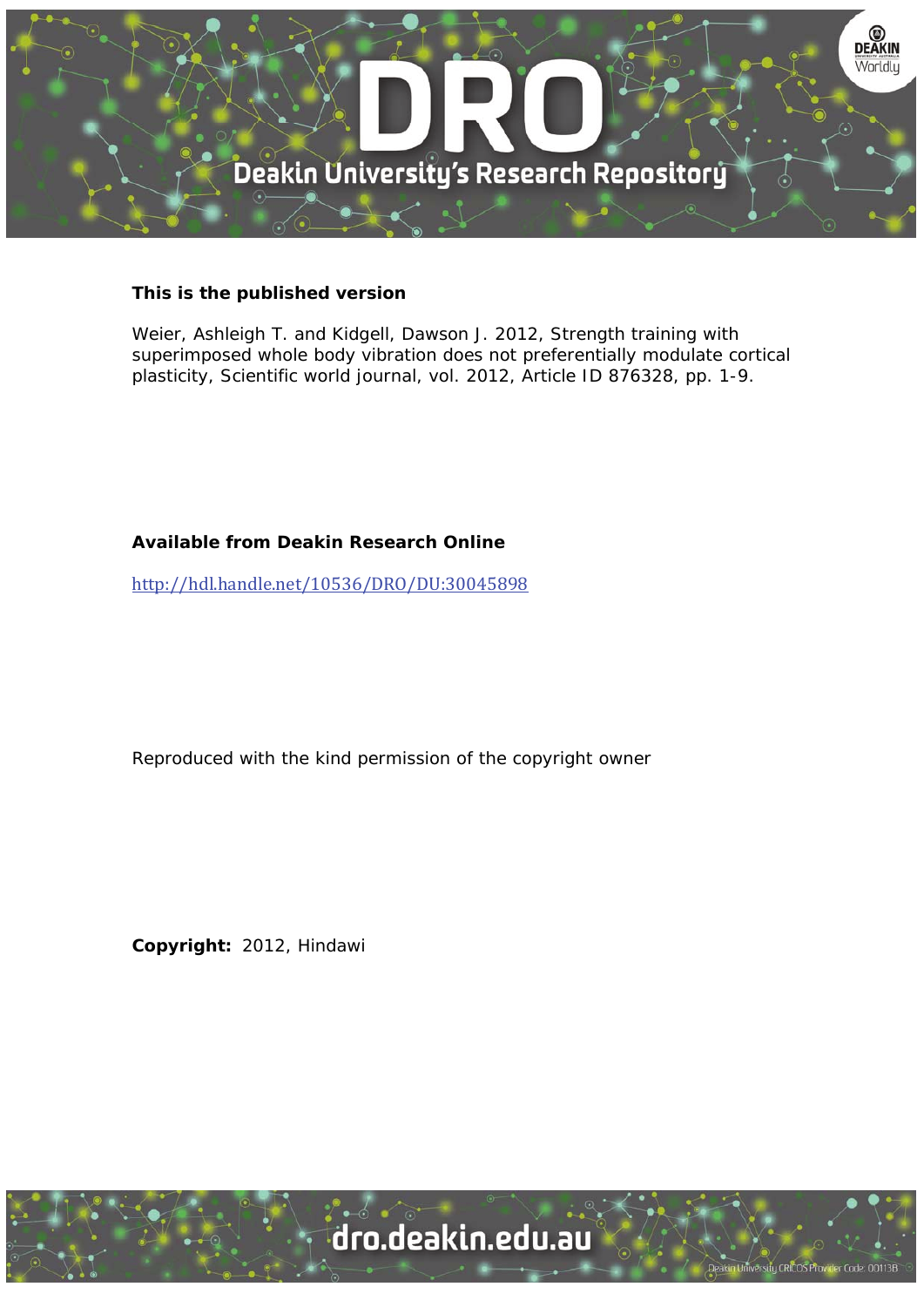

### **This is the published version**

Weier, Ashleigh T. and Kidgell, Dawson J. 2012, Strength training with superimposed whole body vibration does not preferentially modulate cortical plasticity, Scientific world journal, vol. 2012, Article ID 876328, pp. 1-9.

## **Available from Deakin Research Online**

http://hdl.handle.net/10536/DRO/DU:30045898

Reproduced with the kind permission of the copyright owner

**Copyright:** 2012, Hindawi

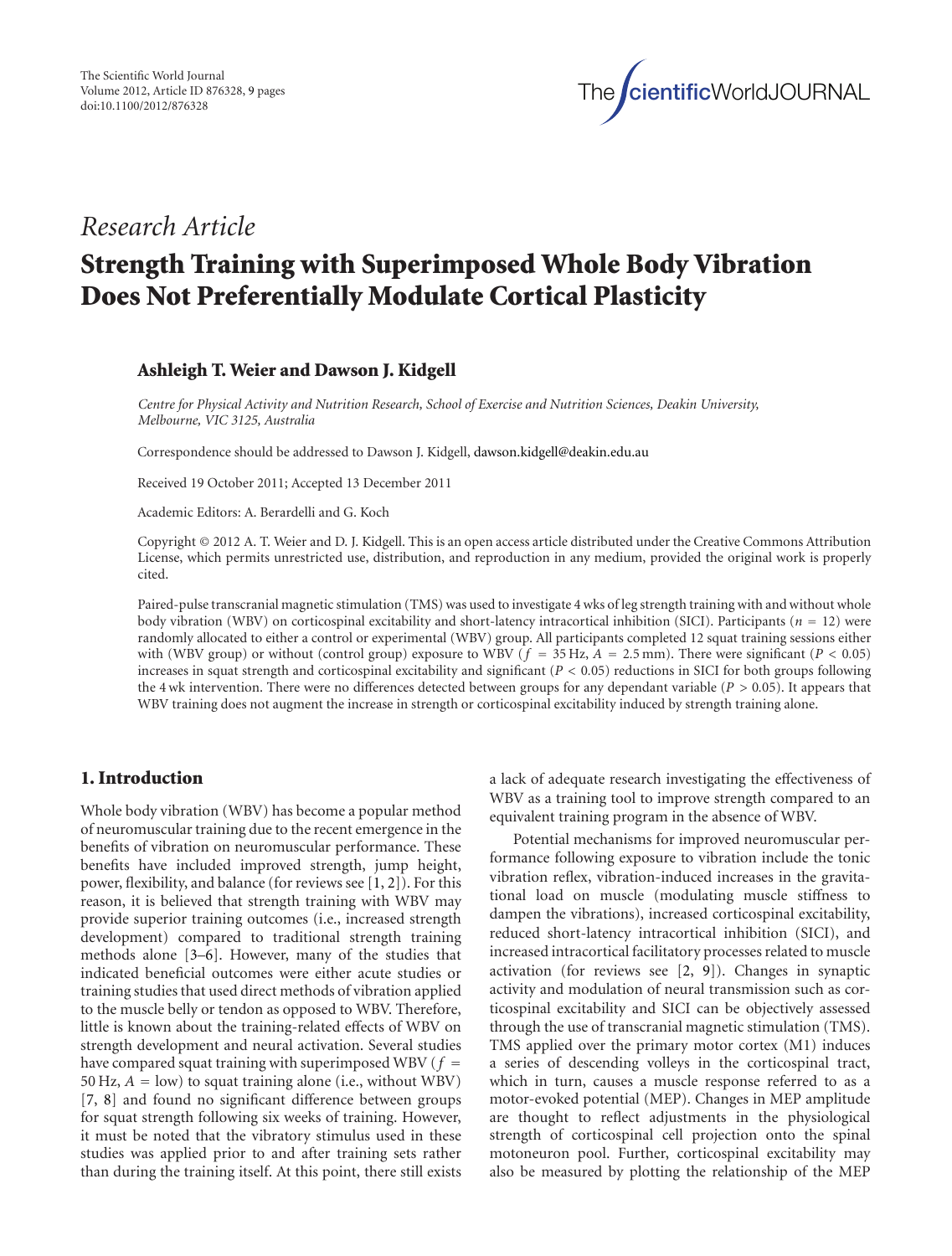

## *Research Article*

# **Strength Training with Superimposed Whole Body Vibration Does Not Preferentially Modulate Cortical Plasticity**

#### **Ashleigh T. Weier and Dawson J. Kidgell**

*Centre for Physical Activity and Nutrition Research, School of Exercise and Nutrition Sciences, Deakin University, Melbourne, VIC 3125, Australia*

Correspondence should be addressed to Dawson J. Kidgell, [dawson.kidgell@deakin.edu.au](mailto:dawson.kidgell@deakin.edu.au)

Received 19 October 2011; Accepted 13 December 2011

Academic Editors: A. Berardelli and G. Koch

Copyright © 2012 A. T. Weier and D. J. Kidgell. This is an open access article distributed under the Creative Commons Attribution License, which permits unrestricted use, distribution, and reproduction in any medium, provided the original work is properly cited.

Paired-pulse transcranial magnetic stimulation (TMS) was used to investigate 4 wks of leg strength training with and without whole body vibration (WBV) on corticospinal excitability and short-latency intracortical inhibition (SICI). Participants (*<sup>n</sup>* <sup>=</sup> 12) were randomly allocated to either a control or experimental (WBV) group. All participants completed 12 squat training sessions either with (WBV group) or without (control group) exposure to WBV (*<sup>f</sup>* <sup>=</sup> 35 Hz, *<sup>A</sup>* <sup>=</sup> <sup>2</sup>*.*5 mm). There were significant (*P <* <sup>0</sup>*.*05) increases in squat strength and corticospinal excitability and significant (*P <* 0*.*05) reductions in SICI for both groups following the 4 wk intervention. There were no differences detected between groups for any dependant variable (*P >* 0*.*05). It appears that WBV training does not augment the increase in strength or corticospinal excitability induced by strength training alone.

#### **1. Introduction**

Whole body vibration (WBV) has become a popular method of neuromuscular training due to the recent emergence in the benefits of vibration on neuromuscular performance. These benefits have included improved strength, jump height, power, flexibility, and balance (for reviews see [\[1](#page-8-1), [2](#page-8-2)]). For this reason, it is believed that strength training with WBV may provide superior training outcomes (i.e., increased strength development) compared to traditional strength training methods alone [\[3](#page-8-3)[–6](#page-8-4)]. However, many of the studies that indicated beneficial outcomes were either acute studies or training studies that used direct methods of vibration applied to the muscle belly or tendon as opposed to WBV. Therefore, little is known about the training-related effects of WBV on strength development and neural activation. Several studies have compared squat training with superimposed WBV ( $f =$ 50 Hz,  $A = low$ ) to squat training alone (i.e., without WBV) [\[7](#page-8-5), [8](#page-8-6)] and found no significant difference between groups for squat strength following six weeks of training. However, it must be noted that the vibratory stimulus used in these studies was applied prior to and after training sets rather than during the training itself. At this point, there still exists a lack of adequate research investigating the effectiveness of WBV as a training tool to improve strength compared to an equivalent training program in the absence of WBV.

Potential mechanisms for improved neuromuscular performance following exposure to vibration include the tonic vibration reflex, vibration-induced increases in the gravitational load on muscle (modulating muscle stiffness to dampen the vibrations), increased corticospinal excitability, reduced short-latency intracortical inhibition (SICI), and increased intracortical facilitatory processes related to muscle activation (for reviews see [\[2](#page-8-2), [9\]](#page-8-7)). Changes in synaptic activity and modulation of neural transmission such as corticospinal excitability and SICI can be objectively assessed through the use of transcranial magnetic stimulation (TMS). TMS applied over the primary motor cortex (M1) induces a series of descending volleys in the corticospinal tract, which in turn, causes a muscle response referred to as a motor-evoked potential (MEP). Changes in MEP amplitude are thought to reflect adjustments in the physiological strength of corticospinal cell projection onto the spinal motoneuron pool. Further, corticospinal excitability may also be measured by plotting the relationship of the MEP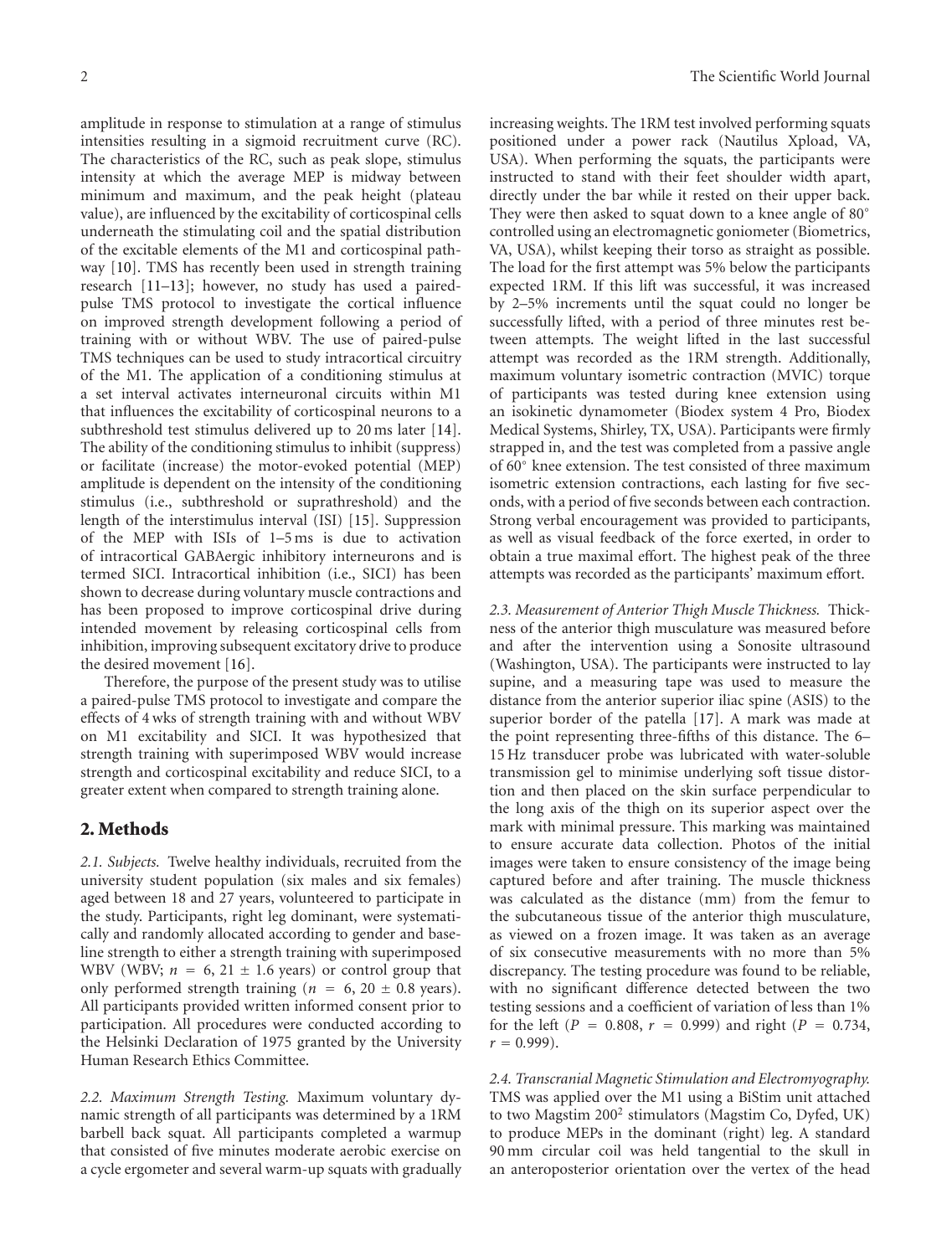amplitude in response to stimulation at a range of stimulus intensities resulting in a sigmoid recruitment curve (RC). The characteristics of the RC, such as peak slope, stimulus intensity at which the average MEP is midway between minimum and maximum, and the peak height (plateau value), are influenced by the excitability of corticospinal cells underneath the stimulating coil and the spatial distribution of the excitable elements of the M1 and corticospinal pathway [\[10\]](#page-8-8). TMS has recently been used in strength training research [\[11](#page-8-9)[–13](#page-8-10)]; however, no study has used a pairedpulse TMS protocol to investigate the cortical influence on improved strength development following a period of training with or without WBV. The use of paired-pulse TMS techniques can be used to study intracortical circuitry of the M1. The application of a conditioning stimulus at a set interval activates interneuronal circuits within M1 that influences the excitability of corticospinal neurons to a subthreshold test stimulus delivered up to 20 ms later [\[14\]](#page-8-11). The ability of the conditioning stimulus to inhibit (suppress) or facilitate (increase) the motor-evoked potential (MEP) amplitude is dependent on the intensity of the conditioning stimulus (i.e., subthreshold or suprathreshold) and the length of the interstimulus interval (ISI) [\[15\]](#page-8-12). Suppression of the MEP with ISIs of 1–5 ms is due to activation of intracortical GABAergic inhibitory interneurons and is termed SICI. Intracortical inhibition (i.e., SICI) has been shown to decrease during voluntary muscle contractions and has been proposed to improve corticospinal drive during intended movement by releasing corticospinal cells from inhibition, improving subsequent excitatory drive to produce the desired movement [\[16\]](#page-8-13).

Therefore, the purpose of the present study was to utilise a paired-pulse TMS protocol to investigate and compare the effects of 4 wks of strength training with and without WBV on M1 excitability and SICI. It was hypothesized that strength training with superimposed WBV would increase strength and corticospinal excitability and reduce SICI, to a greater extent when compared to strength training alone.

#### **2. Methods**

*2.1. Subjects.* Twelve healthy individuals, recruited from the university student population (six males and six females) aged between 18 and 27 years, volunteered to participate in the study. Participants, right leg dominant, were systematically and randomly allocated according to gender and baseline strength to either a strength training with superimposed WBV (WBV;  $n = 6, 21 \pm 1.6$  years) or control group that only performed strength training ( $n = 6, 20 \pm 0.8$  years). All participants provided written informed consent prior to participation. All procedures were conducted according to the Helsinki Declaration of 1975 granted by the University Human Research Ethics Committee.

*2.2. Maximum Strength Testing.* Maximum voluntary dynamic strength of all participants was determined by a 1RM barbell back squat. All participants completed a warmup that consisted of five minutes moderate aerobic exercise on a cycle ergometer and several warm-up squats with gradually

increasing weights. The 1RM test involved performing squats positioned under a power rack (Nautilus Xpload, VA, USA). When performing the squats, the participants were instructed to stand with their feet shoulder width apart, directly under the bar while it rested on their upper back. They were then asked to squat down to a knee angle of 80° controlled using an electromagnetic goniometer (Biometrics, VA, USA), whilst keeping their torso as straight as possible. The load for the first attempt was 5% below the participants expected 1RM. If this lift was successful, it was increased by 2–5% increments until the squat could no longer be successfully lifted, with a period of three minutes rest between attempts. The weight lifted in the last successful attempt was recorded as the 1RM strength. Additionally, maximum voluntary isometric contraction (MVIC) torque of participants was tested during knee extension using an isokinetic dynamometer (Biodex system 4 Pro, Biodex Medical Systems, Shirley, TX, USA). Participants were firmly strapped in, and the test was completed from a passive angle of 60◦ knee extension. The test consisted of three maximum isometric extension contractions, each lasting for five seconds, with a period of five seconds between each contraction. Strong verbal encouragement was provided to participants, as well as visual feedback of the force exerted, in order to obtain a true maximal effort. The highest peak of the three attempts was recorded as the participants' maximum effort.

*2.3. Measurement of Anterior Thigh Muscle Thickness.* Thickness of the anterior thigh musculature was measured before and after the intervention using a Sonosite ultrasound (Washington, USA). The participants were instructed to lay supine, and a measuring tape was used to measure the distance from the anterior superior iliac spine (ASIS) to the superior border of the patella [\[17](#page-8-14)]. A mark was made at the point representing three-fifths of this distance. The 6– 15 Hz transducer probe was lubricated with water-soluble transmission gel to minimise underlying soft tissue distortion and then placed on the skin surface perpendicular to the long axis of the thigh on its superior aspect over the mark with minimal pressure. This marking was maintained to ensure accurate data collection. Photos of the initial images were taken to ensure consistency of the image being captured before and after training. The muscle thickness was calculated as the distance (mm) from the femur to the subcutaneous tissue of the anterior thigh musculature, as viewed on a frozen image. It was taken as an average of six consecutive measurements with no more than 5% discrepancy. The testing procedure was found to be reliable, with no significant difference detected between the two testing sessions and a coefficient of variation of less than 1% for the left ( $P = 0.808$ ,  $r = 0.999$ ) and right ( $P = 0.734$ ,  $r = 0.999$ ).

*2.4. Transcranial Magnetic Stimulation and Electromyography.* TMS was applied over the M1 using a BiStim unit attached to two Magstim 200<sup>2</sup> stimulators (Magstim Co, Dyfed, UK) to produce MEPs in the dominant (right) leg. A standard 90 mm circular coil was held tangential to the skull in an anteroposterior orientation over the vertex of the head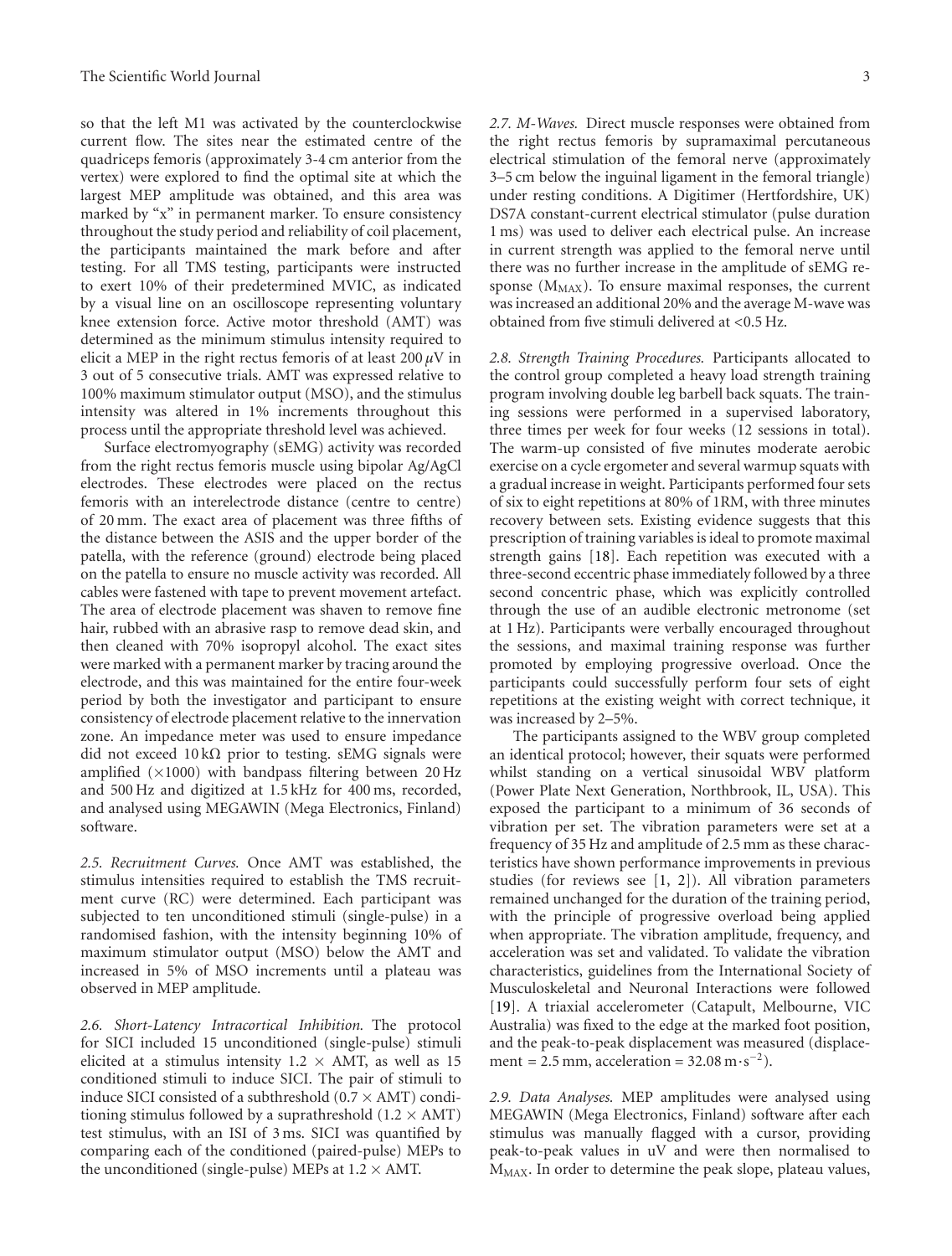so that the left M1 was activated by the counterclockwise current flow. The sites near the estimated centre of the quadriceps femoris (approximately 3-4 cm anterior from the vertex) were explored to find the optimal site at which the largest MEP amplitude was obtained, and this area was marked by "x" in permanent marker. To ensure consistency throughout the study period and reliability of coil placement, the participants maintained the mark before and after testing. For all TMS testing, participants were instructed to exert 10% of their predetermined MVIC, as indicated by a visual line on an oscilloscope representing voluntary knee extension force. Active motor threshold (AMT) was determined as the minimum stimulus intensity required to elicit a MEP in the right rectus femoris of at least  $200 \mu$ V in 3 out of 5 consecutive trials. AMT was expressed relative to 100% maximum stimulator output (MSO), and the stimulus intensity was altered in 1% increments throughout this process until the appropriate threshold level was achieved.

Surface electromyography (sEMG) activity was recorded from the right rectus femoris muscle using bipolar Ag/AgCl electrodes. These electrodes were placed on the rectus femoris with an interelectrode distance (centre to centre) of 20 mm. The exact area of placement was three fifths of the distance between the ASIS and the upper border of the patella, with the reference (ground) electrode being placed on the patella to ensure no muscle activity was recorded. All cables were fastened with tape to prevent movement artefact. The area of electrode placement was shaven to remove fine hair, rubbed with an abrasive rasp to remove dead skin, and then cleaned with 70% isopropyl alcohol. The exact sites were marked with a permanent marker by tracing around the electrode, and this was maintained for the entire four-week period by both the investigator and participant to ensure consistency of electrode placement relative to the innervation zone. An impedance meter was used to ensure impedance did not exceed  $10 \text{ k}\Omega$  prior to testing. sEMG signals were amplified  $(\times 1000)$  with bandpass filtering between 20 Hz and 500 Hz and digitized at 1.5 kHz for 400 ms, recorded, and analysed using MEGAWIN (Mega Electronics, Finland) software.

*2.5. Recruitment Curves.* Once AMT was established, the stimulus intensities required to establish the TMS recruitment curve (RC) were determined. Each participant was subjected to ten unconditioned stimuli (single-pulse) in a randomised fashion, with the intensity beginning 10% of maximum stimulator output (MSO) below the AMT and increased in 5% of MSO increments until a plateau was observed in MEP amplitude.

*2.6. Short-Latency Intracortical Inhibition.* The protocol for SICI included 15 unconditioned (single-pulse) stimuli elicited at a stimulus intensity  $1.2 \times$  AMT, as well as 15 conditioned stimuli to induce SICI. The pair of stimuli to induce SICI consisted of a subthreshold  $(0.7 \times \text{AMT})$  conditioning stimulus followed by a suprathreshold  $(1.2 \times \text{AMT})$ test stimulus, with an ISI of 3 ms. SICI was quantified by comparing each of the conditioned (paired-pulse) MEPs to the unconditioned (single-pulse) MEPs at  $1.2 \times$  AMT.

*2.7. M-Waves.* Direct muscle responses were obtained from the right rectus femoris by supramaximal percutaneous electrical stimulation of the femoral nerve (approximately 3–5 cm below the inguinal ligament in the femoral triangle) under resting conditions. A Digitimer (Hertfordshire, UK) DS7A constant-current electrical stimulator (pulse duration 1 ms) was used to deliver each electrical pulse. An increase in current strength was applied to the femoral nerve until there was no further increase in the amplitude of sEMG response ( $M_{MAX}$ ). To ensure maximal responses, the current was increased an additional 20% and the average M-wave was obtained from five stimuli delivered at *<*0.5 Hz.

*2.8. Strength Training Procedures.* Participants allocated to the control group completed a heavy load strength training program involving double leg barbell back squats. The training sessions were performed in a supervised laboratory, three times per week for four weeks (12 sessions in total). The warm-up consisted of five minutes moderate aerobic exercise on a cycle ergometer and several warmup squats with a gradual increase in weight. Participants performed four sets of six to eight repetitions at 80% of 1RM, with three minutes recovery between sets. Existing evidence suggests that this prescription of training variables is ideal to promote maximal strength gains [\[18\]](#page-8-15). Each repetition was executed with a three-second eccentric phase immediately followed by a three second concentric phase, which was explicitly controlled through the use of an audible electronic metronome (set at 1 Hz). Participants were verbally encouraged throughout the sessions, and maximal training response was further promoted by employing progressive overload. Once the participants could successfully perform four sets of eight repetitions at the existing weight with correct technique, it was increased by 2–5%.

The participants assigned to the WBV group completed an identical protocol; however, their squats were performed whilst standing on a vertical sinusoidal WBV platform (Power Plate Next Generation, Northbrook, IL, USA). This exposed the participant to a minimum of 36 seconds of vibration per set. The vibration parameters were set at a frequency of 35 Hz and amplitude of 2.5 mm as these characteristics have shown performance improvements in previous studies (for reviews see [\[1](#page-8-1), [2](#page-8-2)]). All vibration parameters remained unchanged for the duration of the training period, with the principle of progressive overload being applied when appropriate. The vibration amplitude, frequency, and acceleration was set and validated. To validate the vibration characteristics, guidelines from the International Society of Musculoskeletal and Neuronal Interactions were followed [\[19\]](#page-8-16). A triaxial accelerometer (Catapult, Melbourne, VIC Australia) was fixed to the edge at the marked foot position, and the peak-to-peak displacement was measured (displacement =  $2.5$  mm, acceleration =  $32.08$  m·s<sup>-2</sup>).

*2.9. Data Analyses.* MEP amplitudes were analysed using MEGAWIN (Mega Electronics, Finland) software after each stimulus was manually flagged with a cursor, providing peak-to-peak values in uV and were then normalised to MMAX. In order to determine the peak slope, plateau values,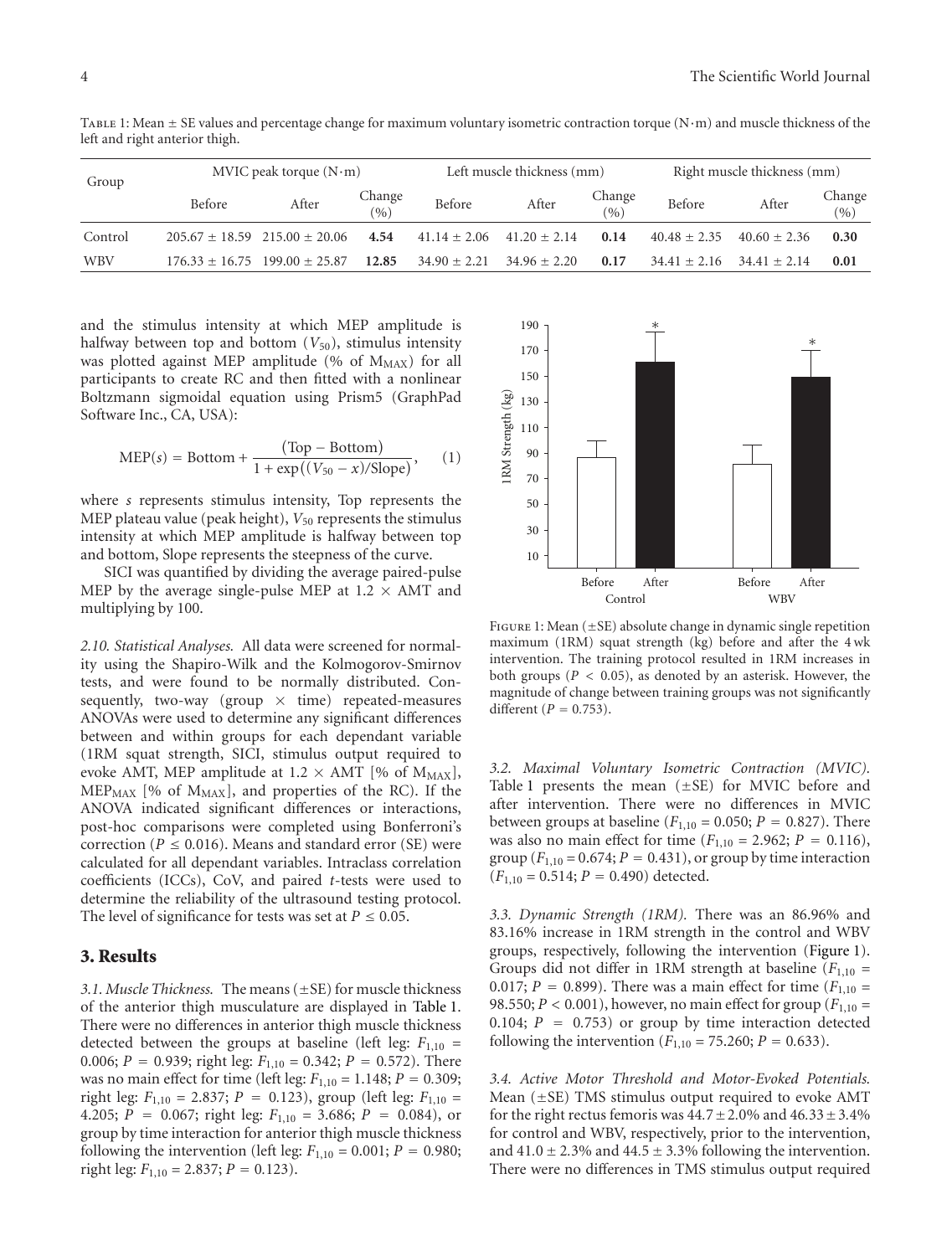| Group      | MVIC peak torque $(N \cdot m)$ |                                       |               | Left muscle thickness (mm) |                  |                 | Right muscle thickness (mm) |                |                 |
|------------|--------------------------------|---------------------------------------|---------------|----------------------------|------------------|-----------------|-----------------------------|----------------|-----------------|
|            | Before                         | After                                 | Change<br>(%) | Before                     | After            | Change<br>(9/0) | Before                      | After          | Change<br>(9/0) |
| Control    |                                | $205.67 + 18.59$ $215.00 + 20.06$     | 4.54          | $41.14 \pm 2.06$           | $41.20 \pm 2.14$ | 0.14            | $40.48 + 2.35$              | $40.60 + 2.36$ | 0.30            |
| <b>WBV</b> |                                | $176.33 \pm 16.75$ $199.00 \pm 25.87$ | 12.85         | $34.90 \pm 2.21$           | $34.96 \pm 2.20$ | 0.17            | $34.41 + 2.16$              | $34.41 + 2.14$ | 0.01            |

<span id="page-4-0"></span>TABLE 1: Mean  $\pm$  SE values and percentage change for maximum voluntary isometric contraction torque (N·m) and muscle thickness of the left and right anterior thigh.

and the stimulus intensity at which MEP amplitude is halfway between top and bottom  $(V_{50})$ , stimulus intensity was plotted against MEP amplitude (% of  $M_{MAX}$ ) for all participants to create RC and then fitted with a nonlinear Boltzmann sigmoidal equation using Prism5 (GraphPad Software Inc., CA, USA):

$$
MEP(s) = Bottom + \frac{(Top - Bottom)}{1 + \exp((V_{50} - x)/Slope)},
$$
 (1)

where *s* represents stimulus intensity, Top represents the MEP plateau value (peak height),  $V_{50}$  represents the stimulus intensity at which MEP amplitude is halfway between top and bottom, Slope represents the steepness of the curve.

SICI was quantified by dividing the average paired-pulse MEP by the average single-pulse MEP at  $1.2 \times$  AMT and multiplying by 100.

*2.10. Statistical Analyses.* All data were screened for normality using the Shapiro-Wilk and the Kolmogorov-Smirnov tests, and were found to be normally distributed. Consequently, two-way (group  $\times$  time) repeated-measures ANOVAs were used to determine any significant differences between and within groups for each dependant variable (1RM squat strength, SICI, stimulus output required to evoke AMT, MEP amplitude at  $1.2 \times$  AMT [% of M<sub>MAX</sub>],  $MEP<sub>MAX</sub>$  [% of  $M<sub>MAX</sub>$ ], and properties of the RC). If the ANOVA indicated significant differences or interactions, post-hoc comparisons were completed using Bonferroni's correction ( $P \leq 0.016$ ). Means and standard error (SE) were calculated for all dependant variables. Intraclass correlation coefficients (ICCs), CoV, and paired *t*-tests were used to determine the reliability of the ultrasound testing protocol. The level of significance for tests was set at  $P \leq 0.05$ .

#### **3. Results**

*3.1. Muscle Thickness.* The means (±SE) for muscle thickness of the anterior thigh musculature are displayed in [Table 1.](#page-4-0) There were no differences in anterior thigh muscle thickness detected between the groups at baseline (left leg: *F*1,10 = 0.006;  $P = 0.939$ ; right leg:  $F_{1,10} = 0.342$ ;  $P = 0.572$ ). There was no main effect for time (left leg:  $F_{1,10} = 1.148; P = 0.309;$ right leg:  $F_{1,10} = 2.837$ ;  $P = 0.123$ ), group (left leg:  $F_{1,10} =$ 4.205; *<sup>P</sup>* <sup>=</sup> <sup>0</sup>*.*067; right leg: *<sup>F</sup>*1,10 <sup>=</sup> 3.686; *<sup>P</sup>* <sup>=</sup> <sup>0</sup>*.*084), or group by time interaction for anterior thigh muscle thickness following the intervention (left leg:  $F_{1,10} = 0.001; P = 0.980;$ right leg:  $F_{1,10} = 2.837; P = 0.123$ .



<span id="page-4-1"></span>FIGURE 1: Mean  $(\pm SE)$  absolute change in dynamic single repetition maximum (1RM) squat strength (kg) before and after the 4 wk intervention. The training protocol resulted in 1RM increases in both groups (*P <* 0*.*05), as denoted by an asterisk. However, the magnitude of change between training groups was not significantly different (*<sup>P</sup>* <sup>=</sup> <sup>0</sup>*.*753).

*3.2. Maximal Voluntary Isometric Contraction (MVIC).* Table [1](#page-4-0) presents the mean  $(\pm SE)$  for MVIC before and after intervention. There were no differences in MVIC between groups at baseline ( $F_{1,10} = 0.050$ ;  $P = 0.827$ ). There was also no main effect for time  $(F_{1,10} = 2.962; P = 0.116)$ , group  $(F_{1,10} = 0.674; P = 0.431)$ , or group by time interaction  $(F_{1,10} = 0.514; P = 0.490)$  detected.

*3.3. Dynamic Strength (1RM).* There was an 86.96% and 83.16% increase in 1RM strength in the control and WBV groups, respectively, following the intervention [\(Figure 1\)](#page-4-1). Groups did not differ in 1RM strength at baseline  $(F_{1,10} =$ 0.017;  $P = 0.899$ ). There was a main effect for time ( $F_{1,10} =$ 98.550;  $P < 0.001$ ), however, no main effect for group ( $F_{1,10} =$ 0.104; *<sup>P</sup>* <sup>=</sup> <sup>0</sup>*.*753) or group by time interaction detected following the intervention  $(F_{1,10} = 75.260; P = 0.633)$ .

*3.4. Active Motor Threshold and Motor-Evoked Potentials.* Mean  $(\pm SE)$  TMS stimulus output required to evoke AMT for the right rectus femoris was  $44.7 \pm 2.0\%$  and  $46.33 \pm 3.4\%$ for control and WBV, respectively, prior to the intervention, and  $41.0 \pm 2.3\%$  and  $44.5 \pm 3.3\%$  following the intervention. There were no differences in TMS stimulus output required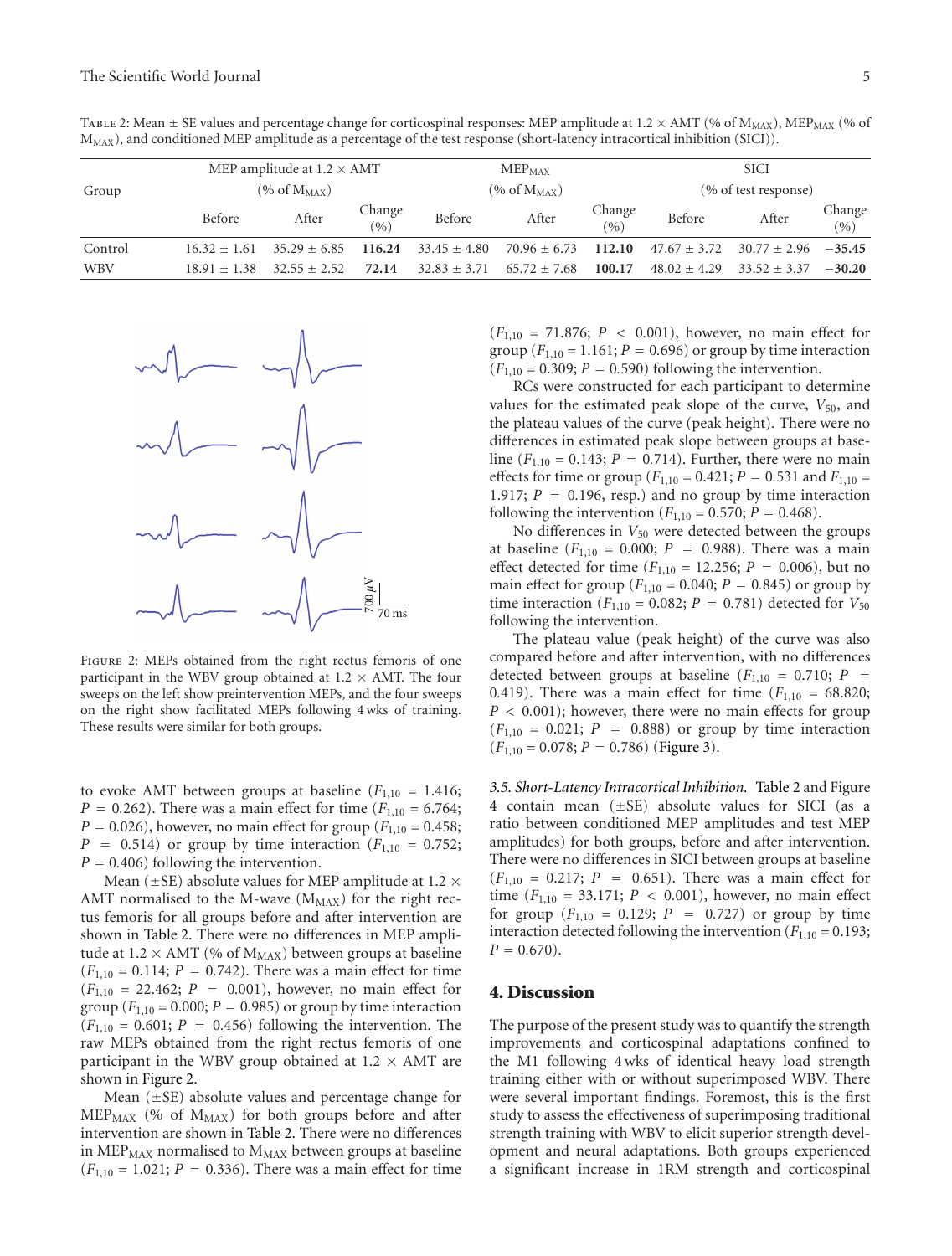<span id="page-5-0"></span>TABLE 2: Mean  $\pm$  SE values and percentage change for corticospinal responses: MEP amplitude at 1.2  $\times$  AMT (% of  $M_{MAX}$ ), MEP<sub>MAX</sub> (% of MMAX), and conditioned MEP amplitude as a percentage of the test response (short-latency intracortical inhibition (SICI)).

|            | MEP amplitude at $1.2 \times$ AMT<br>$(\% \text{ of } M_{MAX})$ |                |               | $MEP_{MAX}$<br>$(\% \text{ of } M_{MAX})$ |                |                                            | <b>SICI</b><br>(% of test response) |                |                            |
|------------|-----------------------------------------------------------------|----------------|---------------|-------------------------------------------|----------------|--------------------------------------------|-------------------------------------|----------------|----------------------------|
| Group      |                                                                 |                |               |                                           |                |                                            |                                     |                |                            |
|            | Before                                                          | After          | Change<br>(%) | Before                                    | After          | Change $\frac{(\frac{9}{6})}{\frac{9}{6}}$ | Before                              | After          | Change $\frac{(\%)}{(\%)}$ |
| Control    | $16.32 + 1.61$                                                  | $35.29 + 6.85$ | 116.24        | $33.45 + 4.80$                            | $70.96 + 6.73$ | 112.10                                     | $47.67 + 3.72$                      | $30.77 + 2.96$ | $-35.45$                   |
| <b>WBV</b> | $18.91 + 1.38$                                                  | $32.55 + 2.52$ | 72.14         | $32.83 + 3.71$                            | $65.72 + 7.68$ | 100.17                                     | $48.02 + 4.29$                      | $33.52 + 3.37$ | $-30.20$                   |



<span id="page-5-1"></span>Figure 2: MEPs obtained from the right rectus femoris of one participant in the WBV group obtained at  $1.2 \times$  AMT. The four sweeps on the left show preintervention MEPs, and the four sweeps on the right show facilitated MEPs following 4 wks of training. These results were similar for both groups.

to evoke AMT between groups at baseline  $(F_{1,10} = 1.416;$ *P* = 0.262). There was a main effect for time  $(F_{1,10} = 6.764;$ *P* = 0.026), however, no main effect for group ( $F_{1,10}$  = 0.458;  $P = 0.514$ ) or group by time interaction ( $F_{1,10} = 0.752$ ; *<sup>P</sup>* <sup>=</sup> <sup>0</sup>*.*406) following the intervention.

Mean ( $\pm$ SE) absolute values for MEP amplitude at 1.2  $\times$ AMT normalised to the M-wave  $(M_{MAX})$  for the right rectus femoris for all groups before and after intervention are shown in [Table 2.](#page-5-0) There were no differences in MEP amplitude at  $1.2 \times$  AMT (% of  $M_{MAX}$ ) between groups at baseline  $(F_{1,10} = 0.114; P = 0.742)$ . There was a main effect for time  $(F_{1,10} = 22.462; P = 0.001)$ , however, no main effect for group  $(F_{1,10} = 0.000; P = 0.985)$  or group by time interaction  $(F_{1,10} = 0.601; P = 0.456)$  following the intervention. The raw MEPs obtained from the right rectus femoris of one participant in the WBV group obtained at 1.2  $\times$  AMT are shown in [Figure 2.](#page-5-1)

Mean (±SE) absolute values and percentage change for MEP<sub>MAX</sub> (% of M<sub>MAX</sub>) for both groups before and after intervention are shown in [Table 2.](#page-5-0) There were no differences in  $\text{MEP}_{\text{MAX}}$  normalised to  $M_{\text{MAX}}$  between groups at baseline  $(F_{1,10} = 1.021; P = 0.336)$ . There was a main effect for time  $(F_{1,10} = 71.876; P < 0.001)$ , however, no main effect for group  $(F_{1,10} = 1.161; P = 0.696)$  or group by time interaction  $(F_{1,10} = 0.309; P = 0.590)$  following the intervention.

RCs were constructed for each participant to determine values for the estimated peak slope of the curve,  $V_{50}$ , and the plateau values of the curve (peak height). There were no differences in estimated peak slope between groups at baseline  $(F_{1,10} = 0.143; P = 0.714)$ . Further, there were no main effects for time or group ( $F_{1,10} = 0.421$ ;  $P = 0.531$  and  $F_{1,10} =$ 1.917;  $P = 0.196$ , resp.) and no group by time interaction following the intervention ( $F_{1,10} = 0.570$ ;  $P = 0.468$ ).

No differences in  $V_{50}$  were detected between the groups at baseline  $(F_{1,10} = 0.000; P = 0.988)$ . There was a main effect detected for time ( $F_{1,10} = 12.256$ ;  $P = 0.006$ ), but no main effect for group ( $F_{1,10} = 0.040; P = 0.845$ ) or group by time interaction ( $F_{1,10} = 0.082$ ;  $P = 0.781$ ) detected for  $V_{50}$ following the intervention.

The plateau value (peak height) of the curve was also compared before and after intervention, with no differences detected between groups at baseline  $(F_{1,10} = 0.710; P =$ 0.419). There was a main effect for time  $(F_{1,10} = 68.820;$ *P <* 0*.*001); however, there were no main effects for group  $(F_{1,10} = 0.021; P = 0.888)$  or group by time interaction  $(F_{1,10} = 0.078; P = 0.786)$  [\(Figure 3\)](#page-6-0).

*3.5. Short-Latency Intracortical Inhibition.* [Table 2](#page-5-0) and Figure [4](#page-6-1) contain mean  $(\pm SE)$  absolute values for SICI (as a ratio between conditioned MEP amplitudes and test MEP amplitudes) for both groups, before and after intervention. There were no differences in SICI between groups at baseline  $(F_{1,10} = 0.217; P = 0.651)$ . There was a main effect for time (*F*1,10 = 33.171; *P <* 0*.*001), however, no main effect for group  $(F_{1,10} = 0.129; P = 0.727)$  or group by time interaction detected following the intervention  $(F_{1,10} = 0.193;$  $P = 0.670$ .

#### **4. Discussion**

The purpose of the present study was to quantify the strength improvements and corticospinal adaptations confined to the M1 following 4 wks of identical heavy load strength training either with or without superimposed WBV. There were several important findings. Foremost, this is the first study to assess the effectiveness of superimposing traditional strength training with WBV to elicit superior strength development and neural adaptations. Both groups experienced a significant increase in 1RM strength and corticospinal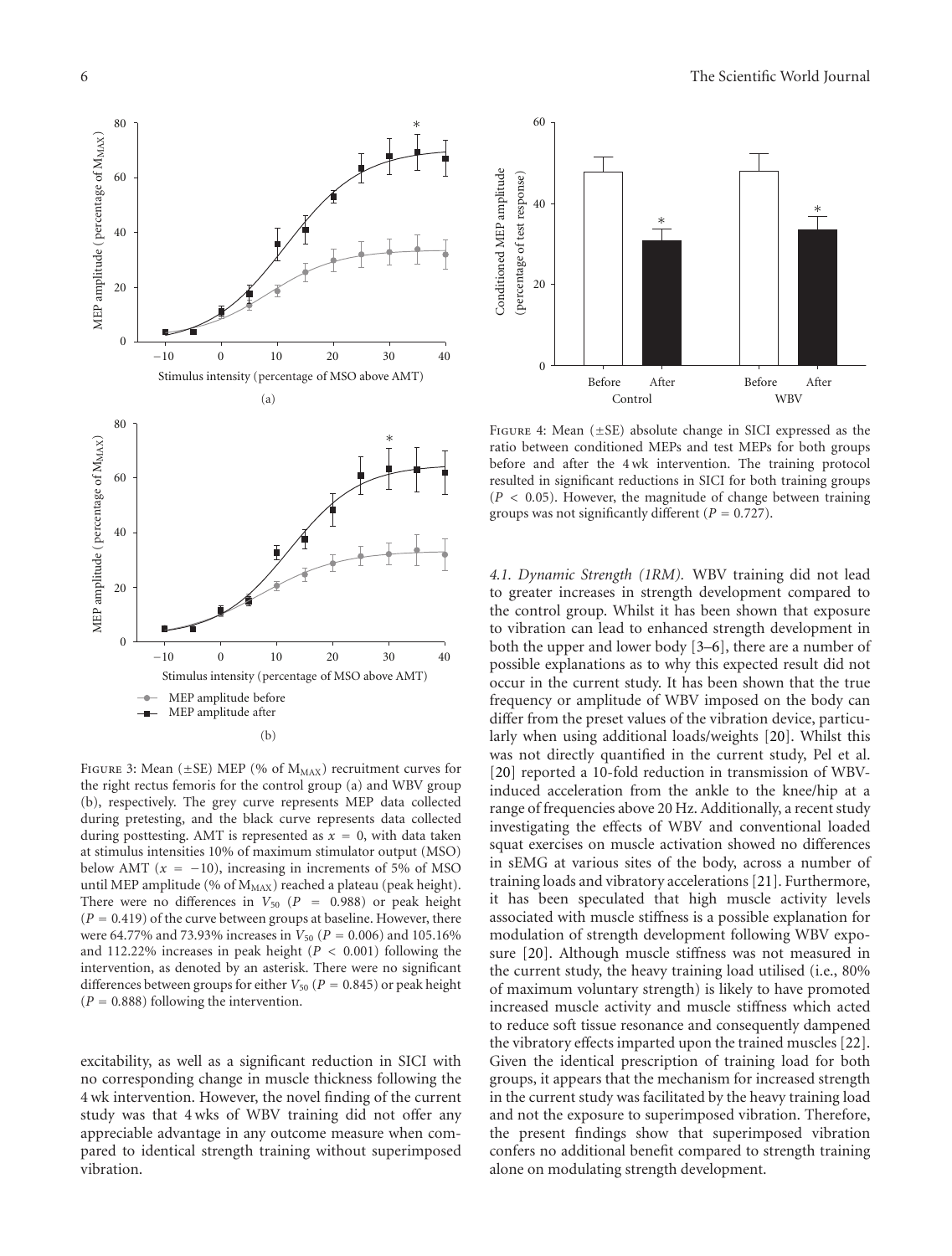

<span id="page-6-0"></span>FIGURE 3: Mean ( $\pm$ SE) MEP (% of M<sub>MAX</sub>) recruitment curves for the right rectus femoris for the control group (a) and WBV group (b), respectively. The grey curve represents MEP data collected during pretesting, and the black curve represents data collected during posttesting. AMT is represented as  $x = 0$ , with data taken at stimulus intensities 10% of maximum stimulator output (MSO) below AMT  $(x = -10)$ , increasing in increments of 5% of MSO until MEP amplitude (% of  $M_{MAX}$ ) reached a plateau (peak height). There were no differences in  $V_{50}$  ( $P = 0.988$ ) or peak height  $(P = 0.419)$  of the curve between groups at baseline. However, there were 64.77% and 73.93% increases in  $V_{50}$  ( $P = 0.006$ ) and 105.16% and 112.22% increases in peak height (*P <* 0*.*001) following the intervention, as denoted by an asterisk. There were no significant differences between groups for either  $V_{50}$  ( $P = 0.845$ ) or peak height  $(P = 0.888)$  following the intervention.

excitability, as well as a significant reduction in SICI with no corresponding change in muscle thickness following the 4 wk intervention. However, the novel finding of the current study was that 4 wks of WBV training did not offer any appreciable advantage in any outcome measure when compared to identical strength training without superimposed vibration.



<span id="page-6-1"></span>FIGURE 4: Mean  $(\pm SE)$  absolute change in SICI expressed as the ratio between conditioned MEPs and test MEPs for both groups before and after the 4 wk intervention. The training protocol resulted in significant reductions in SICI for both training groups (*P <* 0*.*05). However, the magnitude of change between training groups was not significantly different (*<sup>P</sup>* <sup>=</sup> <sup>0</sup>*.*727).

*4.1. Dynamic Strength (1RM).* WBV training did not lead to greater increases in strength development compared to the control group. Whilst it has been shown that exposure to vibration can lead to enhanced strength development in both the upper and lower body [\[3](#page-8-3)[–6\]](#page-8-4), there are a number of possible explanations as to why this expected result did not occur in the current study. It has been shown that the true frequency or amplitude of WBV imposed on the body can differ from the preset values of the vibration device, particularly when using additional loads/weights [\[20\]](#page-8-17). Whilst this was not directly quantified in the current study, Pel et al. [\[20\]](#page-8-17) reported a 10-fold reduction in transmission of WBVinduced acceleration from the ankle to the knee/hip at a range of frequencies above 20 Hz. Additionally, a recent study investigating the effects of WBV and conventional loaded squat exercises on muscle activation showed no differences in sEMG at various sites of the body, across a number of training loads and vibratory accelerations [\[21](#page-8-18)]. Furthermore, it has been speculated that high muscle activity levels associated with muscle stiffness is a possible explanation for modulation of strength development following WBV exposure [\[20](#page-8-17)]. Although muscle stiffness was not measured in the current study, the heavy training load utilised (i.e., 80% of maximum voluntary strength) is likely to have promoted increased muscle activity and muscle stiffness which acted to reduce soft tissue resonance and consequently dampened the vibratory effects imparted upon the trained muscles [\[22\]](#page-8-19). Given the identical prescription of training load for both groups, it appears that the mechanism for increased strength in the current study was facilitated by the heavy training load and not the exposure to superimposed vibration. Therefore, the present findings show that superimposed vibration confers no additional benefit compared to strength training alone on modulating strength development.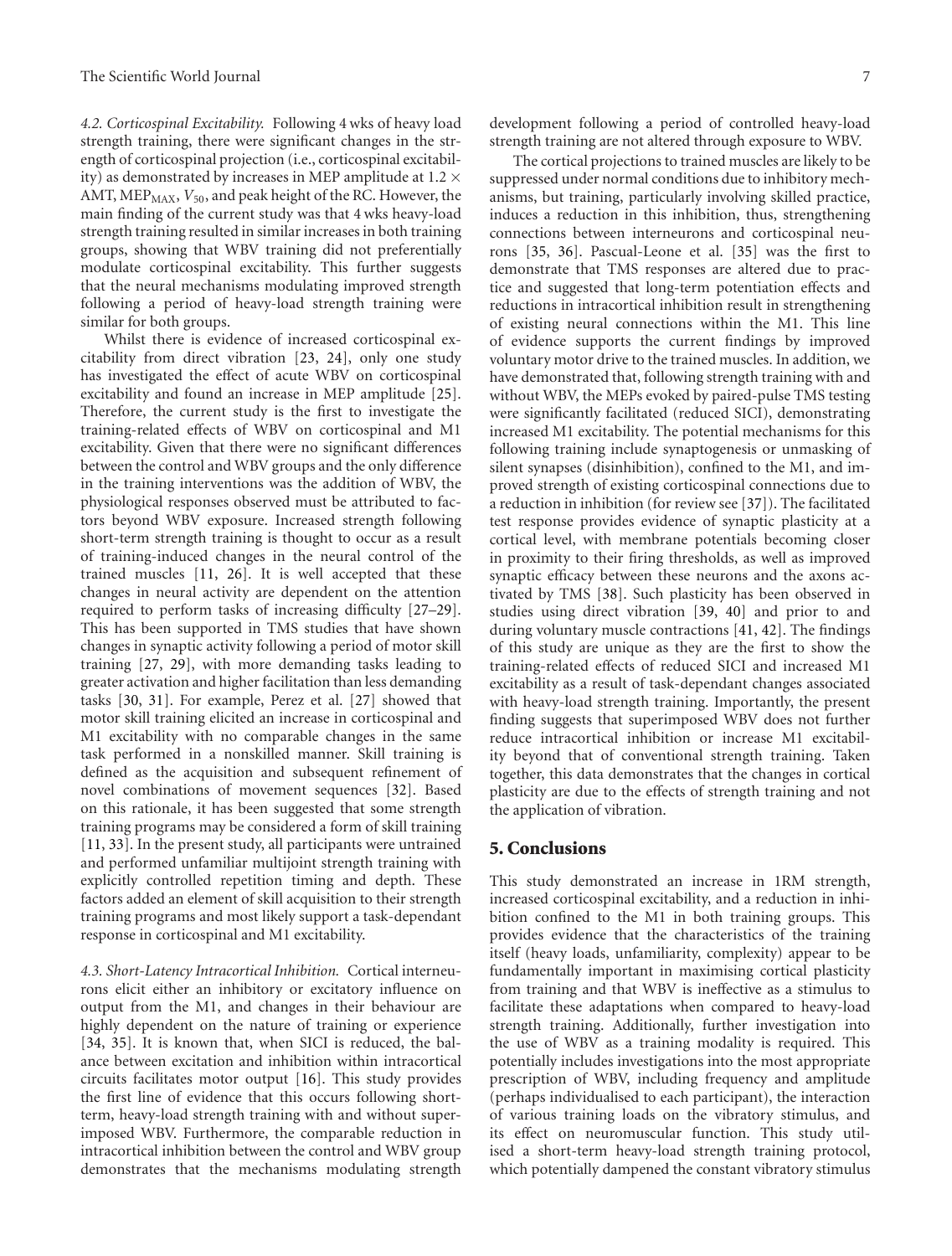*4.2. Corticospinal Excitability.* Following 4 wks of heavy load strength training, there were significant changes in the strength of corticospinal projection (i.e., corticospinal excitability) as demonstrated by increases in MEP amplitude at 1.2  $\times$ AMT, MEP<sub>MAX</sub>,  $V_{50}$ , and peak height of the RC. However, the main finding of the current study was that 4 wks heavy-load strength training resulted in similar increases in both training groups, showing that WBV training did not preferentially modulate corticospinal excitability. This further suggests that the neural mechanisms modulating improved strength following a period of heavy-load strength training were similar for both groups.

Whilst there is evidence of increased corticospinal excitability from direct vibration [\[23,](#page-8-20) [24\]](#page-8-21), only one study has investigated the effect of acute WBV on corticospinal excitability and found an increase in MEP amplitude [\[25\]](#page-8-22). Therefore, the current study is the first to investigate the training-related effects of WBV on corticospinal and M1 excitability. Given that there were no significant differences between the control and WBV groups and the only difference in the training interventions was the addition of WBV, the physiological responses observed must be attributed to factors beyond WBV exposure. Increased strength following short-term strength training is thought to occur as a result of training-induced changes in the neural control of the trained muscles [\[11](#page-8-9), [26\]](#page-8-23). It is well accepted that these changes in neural activity are dependent on the attention required to perform tasks of increasing difficulty [\[27](#page-8-24)[–29\]](#page-9-0). This has been supported in TMS studies that have shown changes in synaptic activity following a period of motor skill training [\[27](#page-8-24), [29\]](#page-9-0), with more demanding tasks leading to greater activation and higher facilitation than less demanding tasks [\[30](#page-9-1), [31](#page-9-2)]. For example, Perez et al. [\[27](#page-8-24)] showed that motor skill training elicited an increase in corticospinal and M1 excitability with no comparable changes in the same task performed in a nonskilled manner. Skill training is defined as the acquisition and subsequent refinement of novel combinations of movement sequences [\[32](#page-9-3)]. Based on this rationale, it has been suggested that some strength training programs may be considered a form of skill training [\[11,](#page-8-9) [33](#page-9-4)]. In the present study, all participants were untrained and performed unfamiliar multijoint strength training with explicitly controlled repetition timing and depth. These factors added an element of skill acquisition to their strength training programs and most likely support a task-dependant response in corticospinal and M1 excitability.

*4.3. Short-Latency Intracortical Inhibition.* Cortical interneurons elicit either an inhibitory or excitatory influence on output from the M1, and changes in their behaviour are highly dependent on the nature of training or experience [\[34,](#page-9-5) [35\]](#page-9-6). It is known that, when SICI is reduced, the balance between excitation and inhibition within intracortical circuits facilitates motor output [\[16](#page-8-13)]. This study provides the first line of evidence that this occurs following shortterm, heavy-load strength training with and without superimposed WBV. Furthermore, the comparable reduction in intracortical inhibition between the control and WBV group demonstrates that the mechanisms modulating strength

development following a period of controlled heavy-load strength training are not altered through exposure to WBV.

The cortical projections to trained muscles are likely to be suppressed under normal conditions due to inhibitory mechanisms, but training, particularly involving skilled practice, induces a reduction in this inhibition, thus, strengthening connections between interneurons and corticospinal neurons [\[35](#page-9-6), [36](#page-9-7)]. Pascual-Leone et al. [\[35](#page-9-6)] was the first to demonstrate that TMS responses are altered due to practice and suggested that long-term potentiation effects and reductions in intracortical inhibition result in strengthening of existing neural connections within the M1. This line of evidence supports the current findings by improved voluntary motor drive to the trained muscles. In addition, we have demonstrated that, following strength training with and without WBV, the MEPs evoked by paired-pulse TMS testing were significantly facilitated (reduced SICI), demonstrating increased M1 excitability. The potential mechanisms for this following training include synaptogenesis or unmasking of silent synapses (disinhibition), confined to the M1, and improved strength of existing corticospinal connections due to a reduction in inhibition (for review see [\[37](#page-9-8)]). The facilitated test response provides evidence of synaptic plasticity at a cortical level, with membrane potentials becoming closer in proximity to their firing thresholds, as well as improved synaptic efficacy between these neurons and the axons activated by TMS [\[38](#page-9-9)]. Such plasticity has been observed in studies using direct vibration [\[39](#page-9-10), [40](#page-9-11)] and prior to and during voluntary muscle contractions [\[41](#page-9-12), [42\]](#page-9-13). The findings of this study are unique as they are the first to show the training-related effects of reduced SICI and increased M1 excitability as a result of task-dependant changes associated with heavy-load strength training. Importantly, the present finding suggests that superimposed WBV does not further reduce intracortical inhibition or increase M1 excitability beyond that of conventional strength training. Taken together, this data demonstrates that the changes in cortical plasticity are due to the effects of strength training and not the application of vibration.

#### **5. Conclusions**

This study demonstrated an increase in 1RM strength, increased corticospinal excitability, and a reduction in inhibition confined to the M1 in both training groups. This provides evidence that the characteristics of the training itself (heavy loads, unfamiliarity, complexity) appear to be fundamentally important in maximising cortical plasticity from training and that WBV is ineffective as a stimulus to facilitate these adaptations when compared to heavy-load strength training. Additionally, further investigation into the use of WBV as a training modality is required. This potentially includes investigations into the most appropriate prescription of WBV, including frequency and amplitude (perhaps individualised to each participant), the interaction of various training loads on the vibratory stimulus, and its effect on neuromuscular function. This study utilised a short-term heavy-load strength training protocol, which potentially dampened the constant vibratory stimulus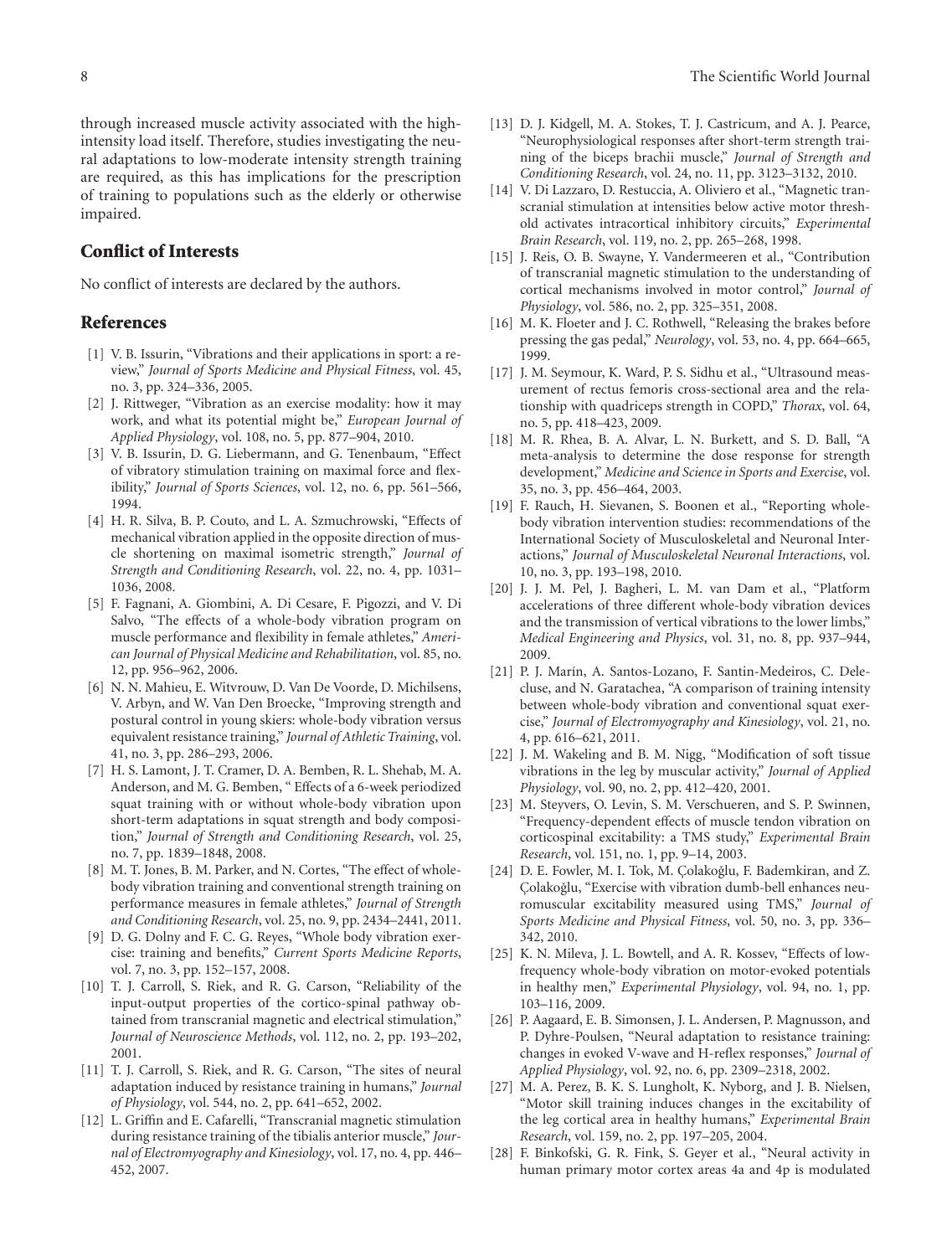through increased muscle activity associated with the highintensity load itself. Therefore, studies investigating the neural adaptations to low-moderate intensity strength training are required, as this has implications for the prescription of training to populations such as the elderly or otherwise impaired.

#### **Conflict of Interests**

No conflict of interests are declared by the authors.

#### <span id="page-8-0"></span>**References**

- <span id="page-8-1"></span>[1] V. B. Issurin, "Vibrations and their applications in sport: a review," *Journal of Sports Medicine and Physical Fitness*, vol. 45, no. 3, pp. 324–336, 2005.
- <span id="page-8-2"></span>[2] J. Rittweger, "Vibration as an exercise modality: how it may work, and what its potential might be," *European Journal of Applied Physiology*, vol. 108, no. 5, pp. 877–904, 2010.
- <span id="page-8-3"></span>[3] V. B. Issurin, D. G. Liebermann, and G. Tenenbaum, "Effect of vibratory stimulation training on maximal force and flexibility," *Journal of Sports Sciences*, vol. 12, no. 6, pp. 561–566, 1994.
- [4] H. R. Silva, B. P. Couto, and L. A. Szmuchrowski, "Effects of mechanical vibration applied in the opposite direction of muscle shortening on maximal isometric strength," *Journal of Strength and Conditioning Research*, vol. 22, no. 4, pp. 1031– 1036, 2008.
- [5] F. Fagnani, A. Giombini, A. Di Cesare, F. Pigozzi, and V. Di Salvo, "The effects of a whole-body vibration program on muscle performance and flexibility in female athletes," *American Journal of Physical Medicine and Rehabilitation*, vol. 85, no. 12, pp. 956–962, 2006.
- <span id="page-8-4"></span>[6] N. N. Mahieu, E. Witvrouw, D. Van De Voorde, D. Michilsens, V. Arbyn, and W. Van Den Broecke, "Improving strength and postural control in young skiers: whole-body vibration versus equivalent resistance training," *Journal of Athletic Training*, vol. 41, no. 3, pp. 286–293, 2006.
- <span id="page-8-5"></span>[7] H. S. Lamont, J. T. Cramer, D. A. Bemben, R. L. Shehab, M. A. Anderson, and M. G. Bemben, " Effects of a 6-week periodized squat training with or without whole-body vibration upon short-term adaptations in squat strength and body composition," *Journal of Strength and Conditioning Research*, vol. 25, no. 7, pp. 1839–1848, 2008.
- <span id="page-8-6"></span>[8] M. T. Jones, B. M. Parker, and N. Cortes, "The effect of wholebody vibration training and conventional strength training on performance measures in female athletes," *Journal of Strength and Conditioning Research*, vol. 25, no. 9, pp. 2434–2441, 2011.
- <span id="page-8-7"></span>[9] D. G. Dolny and F. C. G. Reyes, "Whole body vibration exercise: training and benefits," *Current Sports Medicine Reports*, vol. 7, no. 3, pp. 152–157, 2008.
- <span id="page-8-8"></span>[10] T. J. Carroll, S. Riek, and R. G. Carson, "Reliability of the input-output properties of the cortico-spinal pathway obtained from transcranial magnetic and electrical stimulation," *Journal of Neuroscience Methods*, vol. 112, no. 2, pp. 193–202, 2001.
- <span id="page-8-9"></span>[11] T. J. Carroll, S. Riek, and R. G. Carson, "The sites of neural adaptation induced by resistance training in humans," *Journal of Physiology*, vol. 544, no. 2, pp. 641–652, 2002.
- [12] L. Griffin and E. Cafarelli, "Transcranial magnetic stimulation during resistance training of the tibialis anterior muscle," *Journal of Electromyography and Kinesiology*, vol. 17, no. 4, pp. 446– 452, 2007.
- <span id="page-8-10"></span>[13] D. J. Kidgell, M. A. Stokes, T. J. Castricum, and A. J. Pearce, "Neurophysiological responses after short-term strength training of the biceps brachii muscle," *Journal of Strength and Conditioning Research*, vol. 24, no. 11, pp. 3123–3132, 2010.
- <span id="page-8-11"></span>[14] V. Di Lazzaro, D. Restuccia, A. Oliviero et al., "Magnetic transcranial stimulation at intensities below active motor threshold activates intracortical inhibitory circuits," *Experimental Brain Research*, vol. 119, no. 2, pp. 265–268, 1998.
- <span id="page-8-12"></span>[15] J. Reis, O. B. Swayne, Y. Vandermeeren et al., "Contribution of transcranial magnetic stimulation to the understanding of cortical mechanisms involved in motor control," *Journal of Physiology*, vol. 586, no. 2, pp. 325–351, 2008.
- <span id="page-8-13"></span>[16] M. K. Floeter and J. C. Rothwell, "Releasing the brakes before pressing the gas pedal," *Neurology*, vol. 53, no. 4, pp. 664–665, 1999.
- <span id="page-8-14"></span>[17] J. M. Seymour, K. Ward, P. S. Sidhu et al., "Ultrasound measurement of rectus femoris cross-sectional area and the relationship with quadriceps strength in COPD," *Thorax*, vol. 64, no. 5, pp. 418–423, 2009.
- <span id="page-8-15"></span>[18] M. R. Rhea, B. A. Alvar, L. N. Burkett, and S. D. Ball, "A meta-analysis to determine the dose response for strength development," *Medicine and Science in Sports and Exercise*, vol. 35, no. 3, pp. 456–464, 2003.
- <span id="page-8-16"></span>[19] F. Rauch, H. Sievanen, S. Boonen et al., "Reporting wholebody vibration intervention studies: recommendations of the International Society of Musculoskeletal and Neuronal Interactions," *Journal of Musculoskeletal Neuronal Interactions*, vol. 10, no. 3, pp. 193–198, 2010.
- <span id="page-8-17"></span>[20] J. J. M. Pel, J. Bagheri, L. M. van Dam et al., "Platform accelerations of three different whole-body vibration devices and the transmission of vertical vibrations to the lower limbs," *Medical Engineering and Physics*, vol. 31, no. 8, pp. 937–944, 2009.
- <span id="page-8-18"></span>[21] P. J. Marín, A. Santos-Lozano, F. Santin-Medeiros, C. Delecluse, and N. Garatachea, "A comparison of training intensity between whole-body vibration and conventional squat exercise," *Journal of Electromyography and Kinesiology*, vol. 21, no. 4, pp. 616–621, 2011.
- <span id="page-8-19"></span>[22] J. M. Wakeling and B. M. Nigg, "Modification of soft tissue vibrations in the leg by muscular activity," *Journal of Applied Physiology*, vol. 90, no. 2, pp. 412–420, 2001.
- <span id="page-8-20"></span>[23] M. Steyvers, O. Levin, S. M. Verschueren, and S. P. Swinnen, "Frequency-dependent effects of muscle tendon vibration on corticospinal excitability: a TMS study," *Experimental Brain Research*, vol. 151, no. 1, pp. 9–14, 2003.
- <span id="page-8-21"></span>[24] D. E. Fowler, M. I. Tok, M. Çolakoğlu, F. Bademkiran, and Z. Colakoğlu, "Exercise with vibration dumb-bell enhances neuromuscular excitability measured using TMS," *Journal of Sports Medicine and Physical Fitness*, vol. 50, no. 3, pp. 336– 342, 2010.
- <span id="page-8-22"></span>[25] K. N. Mileva, J. L. Bowtell, and A. R. Kossev, "Effects of lowfrequency whole-body vibration on motor-evoked potentials in healthy men," *Experimental Physiology*, vol. 94, no. 1, pp. 103–116, 2009.
- <span id="page-8-23"></span>[26] P. Aagaard, E. B. Simonsen, J. L. Andersen, P. Magnusson, and P. Dyhre-Poulsen, "Neural adaptation to resistance training: changes in evoked V-wave and H-reflex responses," *Journal of Applied Physiology*, vol. 92, no. 6, pp. 2309–2318, 2002.
- <span id="page-8-24"></span>[27] M. A. Perez, B. K. S. Lungholt, K. Nyborg, and J. B. Nielsen, "Motor skill training induces changes in the excitability of the leg cortical area in healthy humans," *Experimental Brain Research*, vol. 159, no. 2, pp. 197–205, 2004.
- [28] F. Binkofski, G. R. Fink, S. Geyer et al., "Neural activity in human primary motor cortex areas 4a and 4p is modulated